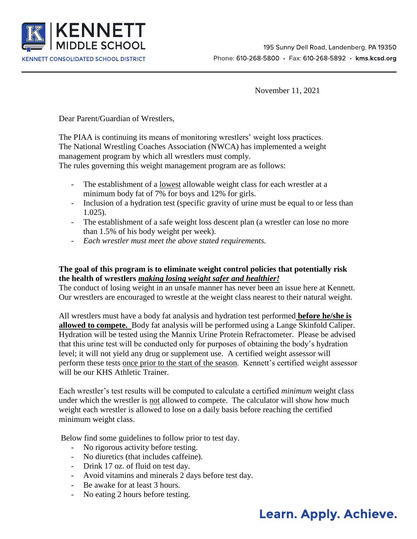

November 11, 2021

Dear Parent/Guardian of Wrestlers,

The PIAA is continuing its means of monitoring wrestlers' weight loss practices. The National Wrestling Coaches Association (NWCA) has implemented a weight management program by which all wrestlers must comply.

The rules governing this weight management program are as follows:

- The establishment of a lowest allowable weight class for each wrestler at a minimum body fat of 7% for boys and 12% for girls.
- Inclusion of a hydration test (specific gravity of urine must be equal to or less than 1.025).
- The establishment of a safe weight loss descent plan (a wrestler can lose no more than 1.5% of his body weight per week).
- *Each wrestler must meet the above stated requirements.*

## **The goal of this program is to eliminate weight control policies that potentially risk the health of wrestlers** *making losing weight safer and healthier!*

The conduct of losing weight in an unsafe manner has never been an issue here at Kennett. Our wrestlers are encouraged to wrestle at the weight class nearest to their natural weight.

All wrestlers must have a body fat analysis and hydration test performed **before he/she is allowed to compete.** Body fat analysis will be performed using a Lange Skinfold Caliper. Hydration will be tested using the Mannix Urine Protein Refractometer. Please be advised that this urine test will be conducted only for purposes of obtaining the body's hydration level; it will not yield any drug or supplement use. A certified weight assessor will perform these tests once prior to the start of the season. Kennett's certified weight assessor will be our KHS Athletic Trainer.

Each wrestler's test results will be computed to calculate a certified *minimum* weight class under which the wrestler is not allowed to compete. The calculator will show how much weight each wrestler is allowed to lose on a daily basis before reaching the certified minimum weight class.

Below find some guidelines to follow prior to test day.

- No rigorous activity before testing.
- No diuretics (that includes caffeine).
- Drink 17 oz. of fluid on test day.
- Avoid vitamins and minerals 2 days before test day.
- Be awake for at least 3 hours.
- No eating 2 hours before testing.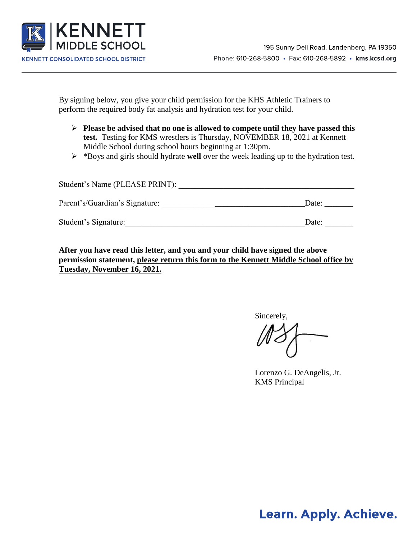

By signing below, you give your child permission for the KHS Athletic Trainers to perform the required body fat analysis and hydration test for your child.

- **Please be advised that no one is allowed to compete until they have passed this test.** Testing for KMS wrestlers is Thursday, NOVEMBER 18, 2021 at Kennett Middle School during school hours beginning at 1:30pm.
- \*Boys and girls should hydrate **well** over the week leading up to the hydration test.

| Student's Name (PLEASE PRINT): |       |
|--------------------------------|-------|
| Parent's/Guardian's Signature: | Date: |
| Student's Signature:           | Date: |

**After you have read this letter, and you and your child have signed the above permission statement, please return this form to the Kennett Middle School office by Tuesday, November 16, 2021.** 

Sincerely,

Lorenzo G. DeAngelis, Jr. KMS Principal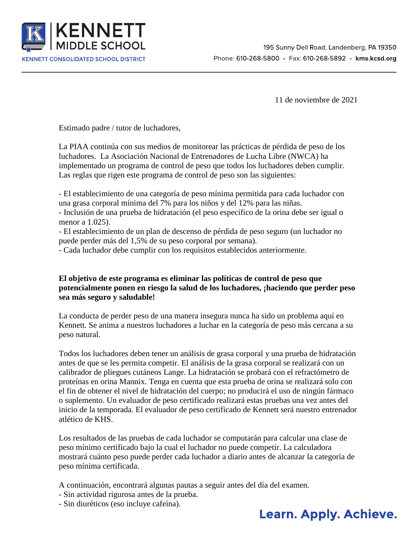

11 de noviembre de 2021

Estimado padre / tutor de luchadores,

La PIAA continúa con sus medios de monitorear las prácticas de pérdida de peso de los luchadores. La Asociación Nacional de Entrenadores de Lucha Libre (NWCA) ha implementado un programa de control de peso que todos los luchadores deben cumplir. Las reglas que rigen este programa de control de peso son las siguientes:

- El establecimiento de una categoría de peso mínima permitida para cada luchador con una grasa corporal mínima del 7% para los niños y del 12% para las niñas.

- Inclusión de una prueba de hidratación (el peso específico de la orina debe ser igual o menor a 1.025).

- El establecimiento de un plan de descenso de pérdida de peso seguro (un luchador no puede perder más del 1,5% de su peso corporal por semana).

- Cada luchador debe cumplir con los requisitos establecidos anteriormente.

## **El objetivo de este programa es eliminar las políticas de control de peso que potencialmente ponen en riesgo la salud de los luchadores, ¡haciendo que perder peso sea más seguro y saludable!**

La conducta de perder peso de una manera insegura nunca ha sido un problema aquí en Kennett. Se anima a nuestros luchadores a luchar en la categoría de peso más cercana a su peso natural.

Todos los luchadores deben tener un análisis de grasa corporal y una prueba de hidratación antes de que se les permita competir. El análisis de la grasa corporal se realizará con un calibrador de pliegues cutáneos Lange. La hidratación se probará con el refractómetro de proteínas en orina Mannix. Tenga en cuenta que esta prueba de orina se realizará solo con el fin de obtener el nivel de hidratación del cuerpo; no producirá el uso de ningún fármaco o suplemento. Un evaluador de peso certificado realizará estas pruebas una vez antes del inicio de la temporada. El evaluador de peso certificado de Kennett será nuestro entrenador atlético de KHS.

Los resultados de las pruebas de cada luchador se computarán para calcular una clase de peso mínimo certificado bajo la cual el luchador no puede competir. La calculadora mostrará cuánto peso puede perder cada luchador a diario antes de alcanzar la categoría de peso mínima certificada.

A continuación, encontrará algunas pautas a seguir antes del día del examen.

- Sin actividad rigurosa antes de la prueba.
- Sin diuréticos (eso incluye cafeína).